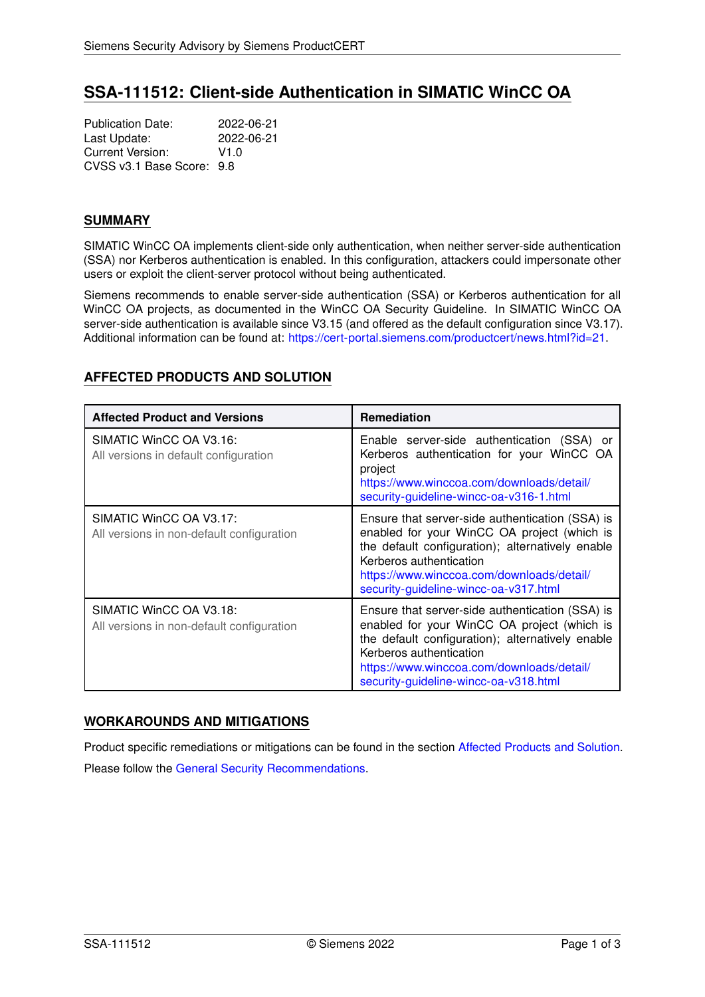# **SSA-111512: Client-side Authentication in SIMATIC WinCC OA**

Publication Date: 2022-06-21<br>
Last Update: 2022-06-21 Last Update: Current Version: V1.0 CVSS v3.1 Base Score: 9.8

### **SUMMARY**

SIMATIC WinCC OA implements client-side only authentication, when neither server-side authentication (SSA) nor Kerberos authentication is enabled. In this configuration, attackers could impersonate other users or exploit the client-server protocol without being authenticated.

Siemens recommends to enable server-side authentication (SSA) or Kerberos authentication for all WinCC OA projects, as documented in the WinCC OA Security Guideline. In SIMATIC WinCC OA server-side authentication is available since V3.15 (and offered as the default configuration since V3.17). Additional information can be found at: [https://cert-portal.siemens.com/productcert/news.html?id=21.](https://cert-portal.siemens.com/productcert/news.html?id=21)

## <span id="page-0-0"></span>**AFFECTED PRODUCTS AND SOLUTION**

| <b>Affected Product and Versions</b>                                 | <b>Remediation</b>                                                                                                                                                                                                                                                  |
|----------------------------------------------------------------------|---------------------------------------------------------------------------------------------------------------------------------------------------------------------------------------------------------------------------------------------------------------------|
| SIMATIC WinCC OA V3.16:<br>All versions in default configuration     | Enable server-side authentication (SSA) or<br>Kerberos authentication for your WinCC OA<br>project<br>https://www.winccoa.com/downloads/detail/<br>security-guideline-wincc-oa-v316-1.html                                                                          |
| SIMATIC WinCC OA V3.17:<br>All versions in non-default configuration | Ensure that server-side authentication (SSA) is<br>enabled for your WinCC OA project (which is<br>the default configuration); alternatively enable<br>Kerberos authentication<br>https://www.winccoa.com/downloads/detail/<br>security-guideline-wincc-oa-v317.html |
| SIMATIC WinCC OA V3.18:<br>All versions in non-default configuration | Ensure that server-side authentication (SSA) is<br>enabled for your WinCC OA project (which is<br>the default configuration); alternatively enable<br>Kerberos authentication<br>https://www.winccoa.com/downloads/detail/<br>security-guideline-wincc-oa-v318.html |

### **WORKAROUNDS AND MITIGATIONS**

<span id="page-0-1"></span>Product specific remediations or mitigations can be found in the section [Affected Products and Solution.](#page-0-0) Please follow the [General Security Recommendations.](#page-0-1)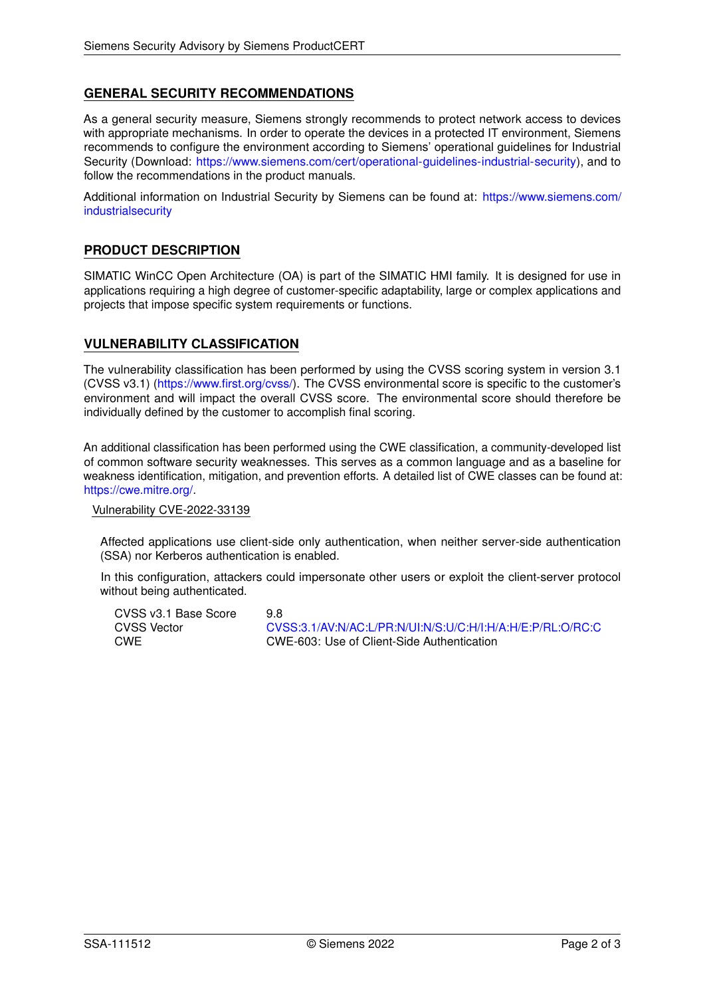### **GENERAL SECURITY RECOMMENDATIONS**

As a general security measure, Siemens strongly recommends to protect network access to devices with appropriate mechanisms. In order to operate the devices in a protected IT environment, Siemens recommends to configure the environment according to Siemens' operational guidelines for Industrial Security (Download: [https://www.siemens.com/cert/operational-guidelines-industrial-security\)](https://www.siemens.com/cert/operational-guidelines-industrial-security), and to follow the recommendations in the product manuals.

Additional information on Industrial Security by Siemens can be found at: [https://www.siemens.com/](https://www.siemens.com/industrialsecurity) [industrialsecurity](https://www.siemens.com/industrialsecurity)

#### **PRODUCT DESCRIPTION**

SIMATIC WinCC Open Architecture (OA) is part of the SIMATIC HMI family. It is designed for use in applications requiring a high degree of customer-specific adaptability, large or complex applications and projects that impose specific system requirements or functions.

#### **VULNERABILITY CLASSIFICATION**

The vulnerability classification has been performed by using the CVSS scoring system in version 3.1 (CVSS v3.1) [\(https://www.first.org/cvss/\)](https://www.first.org/cvss/). The CVSS environmental score is specific to the customer's environment and will impact the overall CVSS score. The environmental score should therefore be individually defined by the customer to accomplish final scoring.

An additional classification has been performed using the CWE classification, a community-developed list of common software security weaknesses. This serves as a common language and as a baseline for weakness identification, mitigation, and prevention efforts. A detailed list of CWE classes can be found at: [https://cwe.mitre.org/.](https://cwe.mitre.org/)

#### Vulnerability CVE-2022-33139

Affected applications use client-side only authentication, when neither server-side authentication (SSA) nor Kerberos authentication is enabled.

In this configuration, attackers could impersonate other users or exploit the client-server protocol without being authenticated.

CVSS v3.1 Base Score 9.8 CVSS Vector [CVSS:3.1/AV:N/AC:L/PR:N/UI:N/S:U/C:H/I:H/A:H/E:P/RL:O/RC:C](https://www.first.org/cvss/calculator/3.1#CVSS:3.1/AV:N/AC:L/PR:N/UI:N/S:U/C:H/I:H/A:H/E:P/RL:O/RC:C) CWE CWE-603: Use of Client-Side Authentication